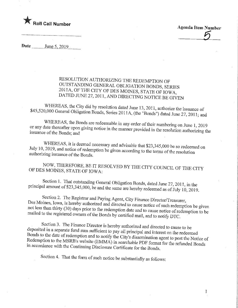

 $\mathcal{L}_{-}$ 

 $\mathbf{1}$ 

## RESOLUTION AUTHORIZING THE REDEMPTION OF OUTSTANDING GENERAL OBLIGATION BONDS, SERIES 2011A, OF THE CITY OF DES MOINES, STATE OF IOWA,  $20111$  ATED HIME  $27.22$  and notively, state of IOWA,  $\sum_{n=1}^{\infty}$  21, 2011, BE GIVEN

 $000$  General Obligation Bonds. Some 2011  $\frac{1}{2}$  (1. 15, 2011, authorize the issuance of  $\frac{4}{5}$   $\frac{4}{5}$   $\frac{4}{5}$   $\frac{4}{5}$   $\frac{4}{1}$ ,  $\frac{4}{1}$ ,  $\frac{4}{1}$ ,  $\frac{4}{1}$  and  $\frac{4}{1}$ ; and

the thereafter upon giving notice in the measurement of their numbering on June  $1, 2019$ suance of the Bonds:  $\overline{and}$ 

 $\mathbb{R}^{19}$ . and notice of redemption be given a set of  $\mathbb{R}^{18}$  and  $\mathbb{R}^{23}$ ,  $\mathbb{R}^{34}$ ,  $\mathbb{R}^{19}$ ,  $\mathbb{R}^{19}$ Ithorizing issuance of the Bonds  $\mathcal{L}^{\text{total}}$  is given according to the terms of the resolution

NOW, THEREFORE, BE IT RESOLVED BY THE CITY COUNCIL OF THE CITY OF DES MOINES, STATE OF IOWA:

 $\frac{1}{2}$  amount of \$23,345,000. For and the some such Bonds, dated June 27, 2011, in the  $p = 32,335$  and the same are hereby redeemed as of July 10, 2019.

Section 2. The Registrar and Paying Agent, City Finance Director/Treasurer,<br>Des Moines, Iowa, is hereby authorized and directed to cause notice of such redemption be given  $\alpha$  dess than thirty (30) days prior to the redemption below when the directed such redemption be given itled to the registered owners of the Bonda by equitient in cause notice of redemption to be mailed to the registered owners of the Bonds by certified mail, and to notify DTC.

Section 3. The Finance Director is hereby authorized and directed to cause to be deposited in a separate fund sum sufficient to pay all principal and interest on the redeemed Bonds to the date of redemption and to notify the City's dissemination agent to post the Notice of demption to the  $MSRR$ 's website (EMMA) in second to notify the Senator agent to post the Notice of  $R$  accordance with the Continuing Disalective Cartistics (EMMA) in section for the refunded Bonds in accordance with the Continuing Disclosure Certificate for the Bonds.

Section 4. That the form of such notice be substantially as follows: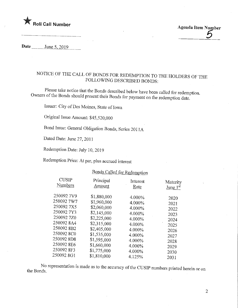

Date  $\frac{\text{June } 5, 2019}{\text{June } 5, 2019}$ 

## NOTICE OF THE CALL OF BONDS FOR REDEMPTION TO THE HOLDERS OF THE FOLLOWING DESCRIBED BONDS:

of the Bonds should magnet their  $D_{\text{eff}}$  below have been called for redemption. Owners of the Bonds should present their Bonds for payment on the redemption date.

Issuer: City ofDes Moines, State of Iowa

Original Issue Amount: \$45,520,000

Bond Issue: General Obligation Bonds, Series 2011A

Dated Date: June 27, 2011

Redemption Date: July 10, 2019

Redemption Price: At par, plus accrued interest

## Bonds Called for Redemption

| <b>CUSIP</b> | Principal   | Interest | Maturity   |
|--------------|-------------|----------|------------|
| Numbers      | Amount      | Rate     | June $1st$ |
| 250092 7V9   | \$1,880,000 | 4.000%   | 2020       |
| 250092 7W7   | \$1,960,000 | 4.000%   | 2021       |
| 250092 7X5   | \$2,060,000 | 4.000%   | 2022       |
| 250092 7Y3   | \$2,145,000 | 4.000%   | 2023       |
| 250092 770   | \$2,225,000 | 4.000%   | 2024       |
| 250092 8A4   | \$2,315,000 | 4.000%   | 2025       |
| 250092 8B2   | \$2,405,000 | 4.000%   | 2026       |
| 250092 8C0   | \$1,535,000 | 4.000%   | 2027       |
| 250092 8D8   | \$1,595,000 | 4.000%   | 2028       |
| 250092 8E6   | \$1,660,000 | 4.000%   | 2029       |
| 250092 8F3   | \$1,775,000 | 4.000%   | 2030       |
| 250092 8G1   | \$1,810,000 | 4.125%   | 2031       |
|              |             |          |            |

No representation is made as to the accuracy of the CUSIP numbers printed herein or on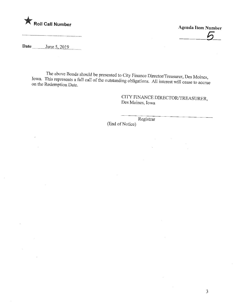

 $\overline{a}$ 

Date \_\_\_\_\_\_\_\_\_ June 5, 2019

 $\bar{a}$ 

 $\mathcal{L}$ 

 $\sim$ 

 $\frac{1}{2}$  his represents a full call of the current to City Finance Director/Treasurer, Des Moines, In the Redemption Date on the Redemption Date.

> CITY FINANCE DIRECTOR/TREASURER, Des Moines, Iowa

> > $\sim 10^7$

 $\sim$ 

Registrar

 $\mathcal{L}$ 

(End of Notice)